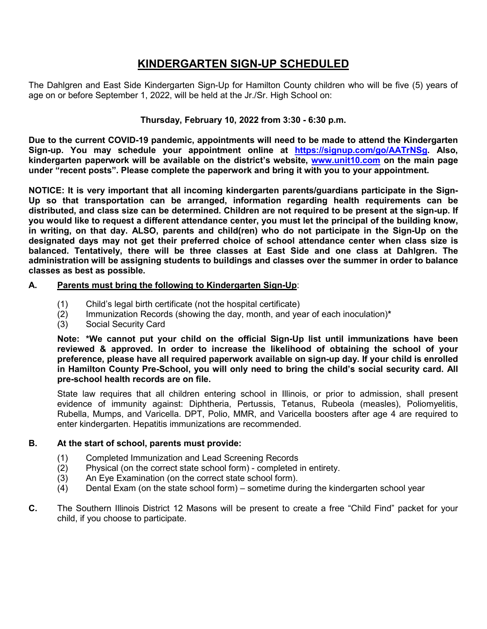## **KINDERGARTEN SIGN-UP SCHEDULED**

The Dahlgren and East Side Kindergarten Sign-Up for Hamilton County children who will be five (5) years of age on or before September 1, 2022, will be held at the Jr./Sr. High School on:

#### **Thursday, February 10, 2022 from 3:30 - 6:30 p.m.**

**Due to the current COVID-19 pandemic, appointments will need to be made to attend the Kindergarten Sign-up. You may schedule your appointment online at [https://signup.com/go/AATrNSg.](https://signup.com/go/AATrNSg) Also, kindergarten paperwork will be available on the district's website, [www.unit10.com](http://www.unit10.com/) on the main page under "recent posts". Please complete the paperwork and bring it with you to your appointment.**

**NOTICE: It is very important that all incoming kindergarten parents/guardians participate in the Sign-Up so that transportation can be arranged, information regarding health requirements can be distributed, and class size can be determined. Children are not required to be present at the sign-up. If you would like to request a different attendance center, you must let the principal of the building know, in writing, on that day. ALSO, parents and child(ren) who do not participate in the Sign-Up on the designated days may not get their preferred choice of school attendance center when class size is balanced. Tentatively, there will be three classes at East Side and one class at Dahlgren. The administration will be assigning students to buildings and classes over the summer in order to balance classes as best as possible.**

#### **A. Parents must bring the following to Kindergarten Sign-Up**:

- 
- (1) Child's legal birth certificate (not the hospital certificate) (2) Immunization Records (showing the day, month, and year of each inoculation)**\***
- Social Security Card

**Note: \*We cannot put your child on the official Sign-Up list until immunizations have been reviewed & approved. In order to increase the likelihood of obtaining the school of your preference, please have all required paperwork available on sign-up day. If your child is enrolled in Hamilton County Pre-School, you will only need to bring the child's social security card. All pre-school health records are on file.**

State law requires that all children entering school in Illinois, or prior to admission, shall present evidence of immunity against: Diphtheria, Pertussis, Tetanus, Rubeola (measles), Poliomyelitis, Rubella, Mumps, and Varicella. DPT, Polio, MMR, and Varicella boosters after age 4 are required to enter kindergarten. Hepatitis immunizations are recommended.

#### **B. At the start of school, parents must provide:**

- (1) Completed Immunization and Lead Screening Records
- (2) Physical (on the correct state school form) completed in entirety.
- (3) An Eye Examination (on the correct state school form).
- (4) Dental Exam (on the state school form) sometime during the kindergarten school year
- **C.** The Southern Illinois District 12 Masons will be present to create a free "Child Find" packet for your child, if you choose to participate.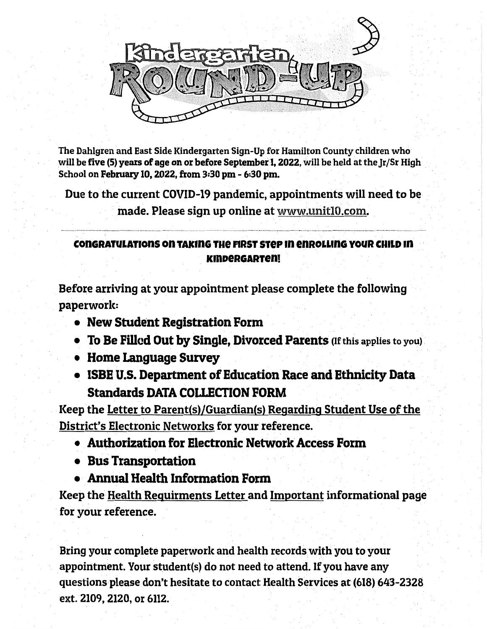

The Dahlgren and East Side Kindergarten Sign-Up for Hamilton County children who will be five (5) years of age on or before September 1, 2022, will be held at the Ir/Sr High School on February 10, 2022, from 3:30 pm - 6:30 pm.

Due to the current COVID-19 pandemic, appointments will need to be

made. Please sign up online at www.unitl0.com.

## CONGRATULATIONS ON TAKING THE FIRST STEP IN ENROLLING YOUR CHILD IN **KINDERGARTEN!**

Before arriving at your appointment please complete the following paperwork:

- New Student Registration Form
- To Be Filled Out by Single, Divorced Parents (If this applies to you)
- Home Language Survey
- ISBE U.S. Department of Education Race and Ethnicity Data **Standards DATA COLLECTION FORM**

Keep the Letter to Parent(s)/Guardian(s) Regarding Student Use of the District's Electronic Networks for your reference.

- Authorization for Electronic Network Access Form
- Bus Transportation
- Annual Health Information Form

Keep the Health Requirments Letter and Important informational page for your reference.

Bring your complete paperwork and health records with you to your appointment. Your student(s) do not need to attend. If you have any questions please don't hesitate to contact Health Services at (618) 643-2328 ext. 2109, 2120, or 6112.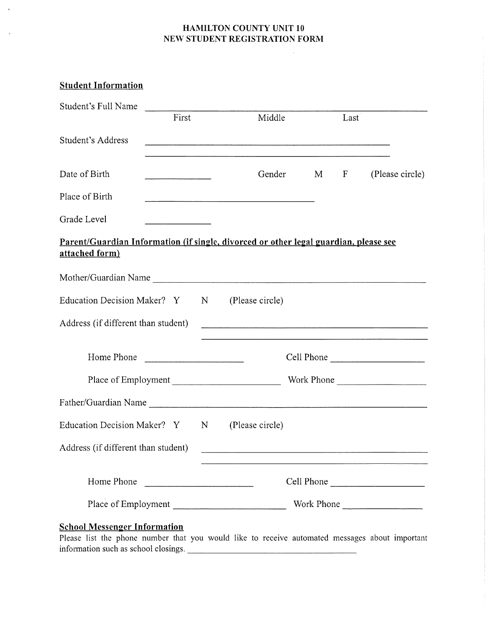#### **HAMILTON COUNTY UNIT 10** NEW STUDENT REGISTRATION FORM

 $\epsilon$ 

 $\mathcal{L}$ 

| <b>Student Information</b>                                                                             |                                                                                                                      |   |                 |   |      |                 |
|--------------------------------------------------------------------------------------------------------|----------------------------------------------------------------------------------------------------------------------|---|-----------------|---|------|-----------------|
| Student's Full Name                                                                                    | First                                                                                                                |   | Middle          |   | Last |                 |
| Student's Address                                                                                      |                                                                                                                      |   |                 |   |      |                 |
| Date of Birth                                                                                          | the company of the company of the company of the company of the company of the company of the company of the company |   | Gender          | M | F    | (Please circle) |
| Place of Birth                                                                                         |                                                                                                                      |   |                 |   |      |                 |
| Grade Level                                                                                            |                                                                                                                      |   |                 |   |      |                 |
| Parent/Guardian Information (if single, divorced or other legal guardian, please see<br>attached form) |                                                                                                                      |   |                 |   |      |                 |
|                                                                                                        |                                                                                                                      |   |                 |   |      |                 |
| Education Decision Maker? Y                                                                            |                                                                                                                      | N | (Please circle) |   |      |                 |
| Address (if different than student)                                                                    |                                                                                                                      |   |                 |   |      |                 |
| Home Phone                                                                                             |                                                                                                                      |   |                 |   |      |                 |
| Place of Employment                                                                                    |                                                                                                                      |   |                 |   |      | Work Phone      |
|                                                                                                        |                                                                                                                      |   |                 |   |      |                 |
| Education Decision Maker? Y                                                                            |                                                                                                                      | N | (Please circle) |   |      |                 |
| Address (if different than student)                                                                    |                                                                                                                      |   |                 |   |      |                 |
| Home Phone                                                                                             |                                                                                                                      |   |                 |   |      | Cell Phone      |
|                                                                                                        |                                                                                                                      |   |                 |   |      |                 |
| <b>School Messenger Information</b>                                                                    |                                                                                                                      |   |                 |   |      |                 |

Please list the phone number that you would like to receive automated messages about important information such as school closings.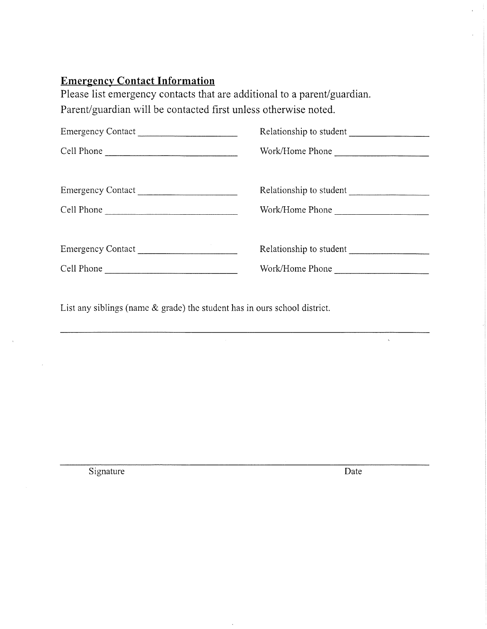# **Emergency Contact Information**

Please list emergency contacts that are additional to a parent/guardian. Parent/guardian will be contacted first unless otherwise noted.

| Emergency Contact | Relationship to student |
|-------------------|-------------------------|
| Cell Phone        | Work/Home Phone         |
| Emergency Contact |                         |
| Cell Phone        | Work/Home Phone         |
|                   |                         |
|                   |                         |
|                   | Work/Home Phone         |
|                   |                         |

List any siblings (name  $\&$  grade) the student has in ours school district.

Signature

Date

 $\hat{\mathbf{v}}$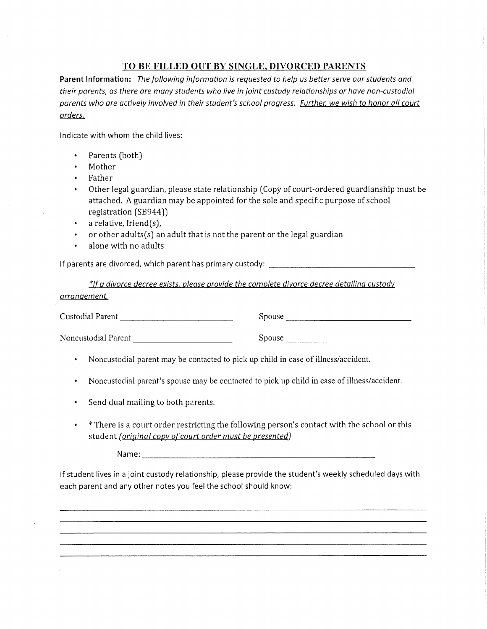#### TO BE FILLED OUT BY SINGLE, DIVORCED PARENTS

Parent Information: The following information is requested to help us better serve our students and their parents, as there are many students who live in joint custody relationships or have non-custodial parents who are actively involved in their student's school progress. Further, we wish to honor all court orders.

Indicate with whom the child lives:

- Parents (both)  $\bullet$
- Mother
- Father
- $\bullet$  . Other legal guardian, please state relationship (Copy of court-ordered guardianship must be attached. A guardian may be appointed for the sole and specific purpose of school registration (SB944))
- a relative, friend(s),  $\bullet$  .
- or other adults $(s)$  an adult that is not the parent or the legal guardian  $\bullet$
- alone with no adults  $\bullet$

If parents are divorced, which parent has primary custody: \_\_\_\_\_\_\_\_\_\_\_\_\_\_\_\_\_\_\_\_\_

\*If a divorce decree exists, please provide the complete divorce decree detailing custody arrangement.

Custodial Parent 2008

Noncustodial Parent

Spouse and the state of the state of the state of the state of the state of the state of the state of the state of the state of the state of the state of the state of the state of the state of the state of the state of the

• Noncustodial parent may be contacted to pick up child in case of illness/accident.

- Noncustodial parent's spouse may be contacted to pick up child in case of illness/accident.
- Send dual mailing to both parents.
- \* There is a court order restricting the following person's contact with the school or this  $\bullet$  . student (original copy of court order must be presented)

If student lives in a joint custody relationship, please provide the student's weekly scheduled days with each parent and any other notes you feel the school should know: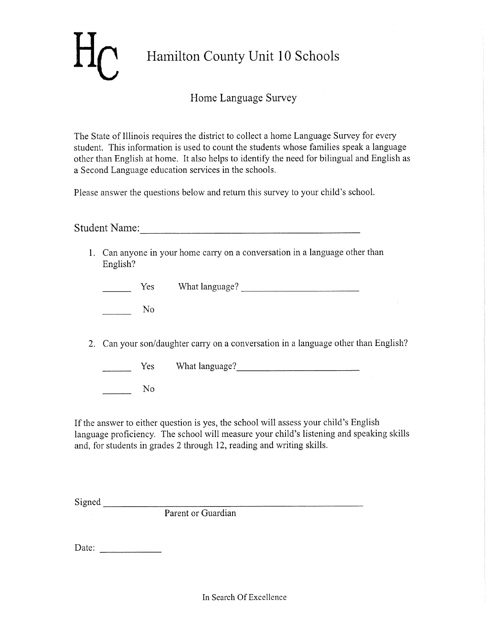# Hamilton County Unit 10 Schools

## Home Language Survey

The State of Illinois requires the district to collect a home Language Survey for every student. This information is used to count the students whose families speak a language other than English at home. It also helps to identify the need for bilingual and English as a Second Language education services in the schools.

Please answer the questions below and return this survey to your child's school.

Student Name:

1. Can anyone in your home carry on a conversation in a language other than English?

| What language? |  |
|----------------|--|
|----------------|--|

N<sub>o</sub>

2. Can your son/daughter carry on a conversation in a language other than English?

Yes What language?

N<sub>o</sub>

If the answer to either question is yes, the school will assess your child's English language proficiency. The school will measure your child's listening and speaking skills and, for students in grades 2 through 12, reading and writing skills.

Signed<br>
Parent or Guardian

Date:  $\frac{1}{\sqrt{1-\frac{1}{2}} \cdot \frac{1}{2}}$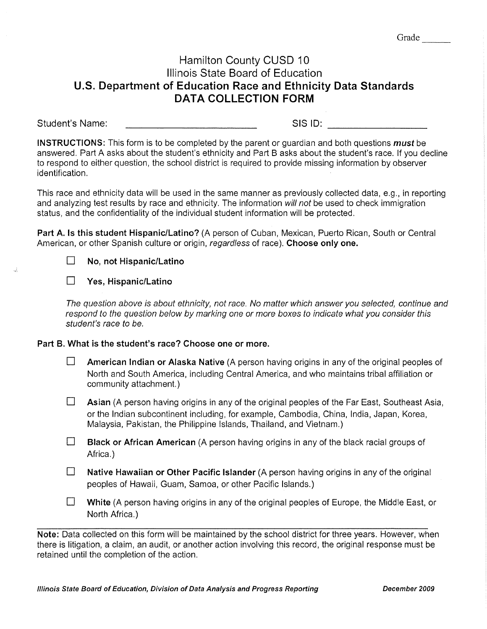## Hamilton County CUSD 10 Illinois State Board of Education U.S. Department of Education Race and Ethnicity Data Standards **DATA COLLECTION FORM**

Student's Name: SIS ID: Annual Company of the Company of the Company of the Company of the Company of the Company of the Company of the Company of the Company of the Company of the Company of the Company of the Company of the Company of t

**INSTRUCTIONS:** This form is to be completed by the parent or quardian and both questions *must* be answered. Part A asks about the student's ethnicity and Part B asks about the student's race. If you decline to respond to either question, the school district is required to provide missing information by observer identification.

This race and ethnicity data will be used in the same manner as previously collected data, e.g., in reporting and analyzing test results by race and ethnicity. The information will not be used to check immigration status, and the confidentiality of the individual student information will be protected.

Part A. Is this student Hispanic/Latino? (A person of Cuban, Mexican, Puerto Rican, South or Central American, or other Spanish culture or origin, regardless of race). Choose only one.



#### $\Box$ Yes, Hispanic/Latino

The question above is about ethnicity, not race. No matter which answer you selected, continue and respond to the question below by marking one or more boxes to indicate what you consider this student's race to be.

#### Part B. What is the student's race? Choose one or more.

- $\Box$ American Indian or Alaska Native (A person having origins in any of the original peoples of North and South America, including Central America, and who maintains tribal affiliation or community attachment.)
- $\Box$ Asian (A person having origins in any of the original peoples of the Far East, Southeast Asia, or the Indian subcontinent including, for example, Cambodia, China, India, Japan, Korea, Malaysia, Pakistan, the Philippine Islands, Thailand, and Vietnam.)
- $\Box$ Black or African American (A person having origins in any of the black racial groups of Africa.)
- $\Box$ Native Hawaiian or Other Pacific Islander (A person having origins in any of the original peoples of Hawaii, Guam, Samoa, or other Pacific Islands.)
- $\Box$ White (A person having origins in any of the original peoples of Europe, the Middle East, or North Africa.)

Note: Data collected on this form will be maintained by the school district for three years. However, when there is litigation, a claim, an audit, or another action involving this record, the original response must be retained until the completion of the action.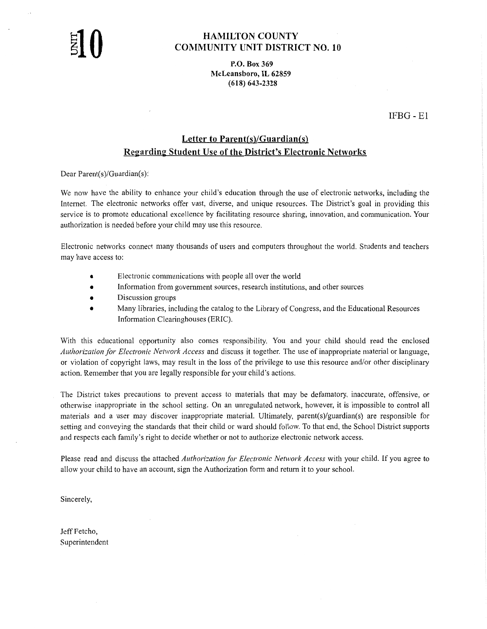#### **HAMILTON COUNTY COMMUNITY UNIT DISTRICT NO. 10**

P.O. Box 369 McLeansboro, IL 62859  $(618) 643 - 2328$ 

 $IFBG - E1$ 

### **Letter to Parent(s)/Guardian(s) Regarding Student Use of the District's Electronic Networks**

Dear Parent(s)/Guardian(s):

We now have the ability to enhance your child's education through the use of electronic networks, including the Internet. The electronic networks offer vast, diverse, and unique resources. The District's goal in providing this service is to promote educational excellence by facilitating resource sharing, innovation, and communication. Your authorization is needed before your child may use this resource.

Electronic networks connect many thousands of users and computers throughout the world. Students and teachers may have access to:

- Electronic communications with people all over the world
- Information from government sources, research institutions, and other sources
- Discussion groups
- Many libraries, including the catalog to the Library of Congress, and the Educational Resources Information Clearinghouses (ERIC).

With this educational opportunity also comes responsibility. You and your child should read the enclosed Authorization for Electronic Network Access and discuss it together. The use of inappropriate material or language, or violation of copyright laws, may result in the loss of the privilege to use this resource and/or other disciplinary action. Remember that you are legally responsible for your child's actions.

The District takes precautions to prevent access to materials that may be defamatory, inaccurate, offensive, or otherwise inappropriate in the school setting. On an unregulated network, however, it is impossible to control all materials and a user may discover inappropriate material. Ultimately, parent(s)/guardian(s) are responsible for setting and conveying the standards that their child or ward should follow. To that end, the School District supports and respects each family's right to decide whether or not to authorize electronic network access.

Please read and discuss the attached Authorization for Electronic Network Access with your child. If you agree to allow your child to have an account, sign the Authorization form and return it to your school.

Sincerely,

Jeff Fetcho, Superintendent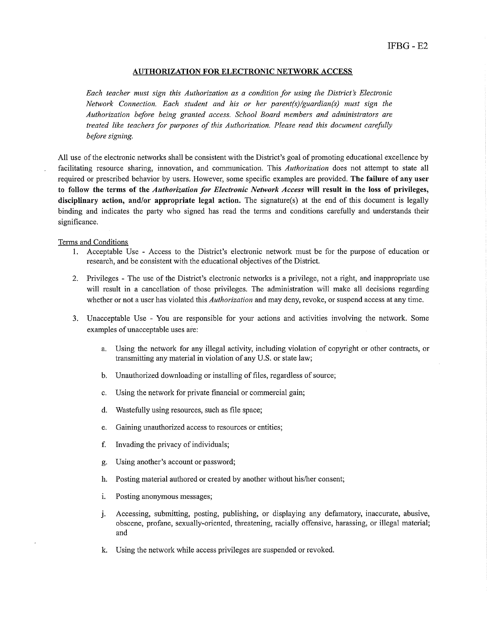#### **AUTHORIZATION FOR ELECTRONIC NETWORK ACCESS**

Each teacher must sign this Authorization as a condition for using the District's Electronic Network Connection. Each student and his or her parent(s)/guardian(s) must sign the Authorization before being granted access. School Board members and administrators are treated like teachers for purposes of this Authorization. Please read this document carefully before signing.

All use of the electronic networks shall be consistent with the District's goal of promoting educational excellence by facilitating resource sharing, innovation, and communication. This Authorization does not attempt to state all required or prescribed behavior by users. However, some specific examples are provided. The failure of any user to follow the terms of the Authorization for Electronic Network Access will result in the loss of privileges, disciplinary action, and/or appropriate legal action. The signature(s) at the end of this document is legally binding and indicates the party who signed has read the terms and conditions carefully and understands their significance.

#### Terms and Conditions

- 1. Acceptable Use Access to the District's electronic network must be for the purpose of education or research, and be consistent with the educational objectives of the District.
- 2. Privileges The use of the District's electronic networks is a privilege, not a right, and inappropriate use will result in a cancellation of those privileges. The administration will make all decisions regarding whether or not a user has violated this *Authorization* and may deny, revoke, or suspend access at any time.
- 3. Unacceptable Use You are responsible for your actions and activities involving the network. Some examples of unacceptable uses are:
	- a. Using the network for any illegal activity, including violation of copyright or other contracts, or transmitting any material in violation of any U.S. or state law;
	- b. Unauthorized downloading or installing of files, regardless of source;
	- Using the network for private financial or commercial gain;  $\mathbf{c}$ .
	- $d_{\cdot}$ Wastefully using resources, such as file space;
	- Gaining unauthorized access to resources or entities; e.
	- f. Invading the privacy of individuals;
	- Using another's account or password; g.
	- h. Posting material authored or created by another without his/her consent;
	- Posting anonymous messages; i.
	- Accessing, submitting, posting, publishing, or displaying any defamatory, inaccurate, abusive, j. obscene, profane, sexually-oriented, threatening, racially offensive, harassing, or illegal material; and
	- k. Using the network while access privileges are suspended or revoked.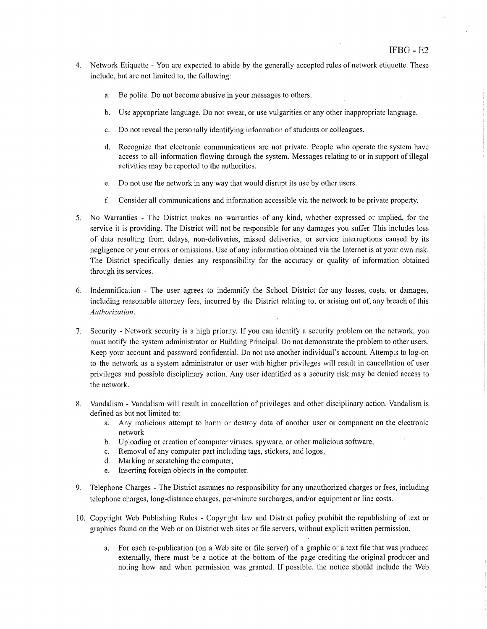- 4. Network Etiquette You are expected to abide by the generally accepted rules of network etiquette. These include, but are not limited to, the following:
	- a. Be polite. Do not become abusive in your messages to others.
	- Use appropriate language. Do not swear, or use vulgarities or any other inappropriate language.  $\mathbf{b}$ .
	- Do not reveal the personally identifying information of students or colleagues.  $c_{\rm r}$
	- d. Recognize that electronic communications are not private. People who operate the system have access to all information flowing through the system. Messages relating to or in support of illegal activities may be reported to the authorities.
	- e. Do not use the network in any way that would disrupt its use by other users.
	- $f<sub>1</sub>$ Consider all communications and information accessible via the network to be private property.
- 5. No Warranties The District makes no warranties of any kind, whether expressed or implied, for the service it is providing. The District will not be responsible for any damages you suffer. This includes loss of data resulting from delays, non-deliveries, missed deliveries, or service interruptions caused by its negligence or your errors or omissions. Use of any information obtained via the Internet is at your own risk. The District specifically denies any responsibility for the accuracy or quality of information obtained through its services.
- 6. Indemnification The user agrees to indemnify the School District for any losses, costs, or damages, including reasonable attorney fees, incurred by the District relating to, or arising out of, any breach of this Authorization.
- 7. Security Network security is a high priority. If you can identify a security problem on the network, you must notify the system administrator or Building Principal. Do not demonstrate the problem to other users. Keep your account and password confidential. Do not use another individual's account. Attempts to log-on to the network as a system administrator or user with higher privileges will result in cancellation of user privileges and possible disciplinary action. Any user identified as a security risk may be denied access to the network.
- 8. Vandalism Vandalism will result in cancellation of privileges and other disciplinary action. Vandalism is defined as but not limited to:
	- a. Any malicious attempt to harm or destroy data of another user or component on the electronic network
	- b. Uploading or creation of computer viruses, spyware, or other malicious software,
	- Removal of any computer part including tags, stickers, and logos,  $c.$
	- d. Marking or scratching the computer,
	- e. Inserting foreign objects in the computer.
- 9. Telephone Charges The District assumes no responsibility for any unauthorized charges or fees, including telephone charges, long-distance charges, per-minute surcharges, and/or equipment or line costs.
- 10. Copyright Web Publishing Rules Copyright law and District policy prohibit the republishing of text or graphics found on the Web or on District web sites or file servers, without explicit written permission.
	- a. For each re-publication (on a Web site or file server) of a graphic or a text file that was produced externally, there must be a notice at the bottom of the page crediting the original producer and noting how and when permission was granted. If possible, the notice should include the Web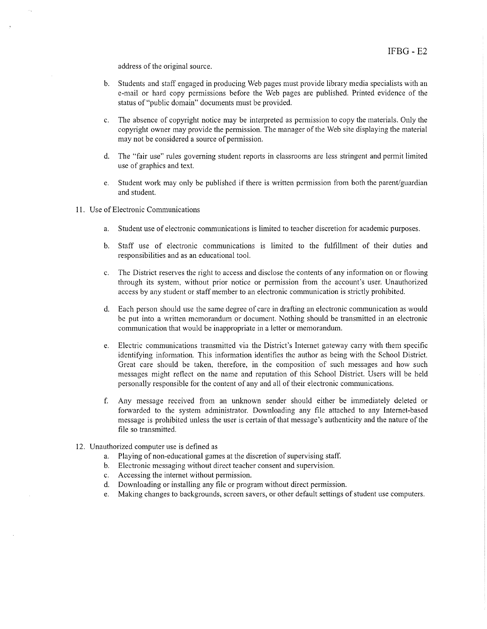address of the original source.

- b. Students and staff engaged in producing Web pages must provide library media specialists with an e-mail or hard copy permissions before the Web pages are published. Printed evidence of the status of "public domain" documents must be provided.
- The absence of copyright notice may be interpreted as permission to copy the materials. Only the  $\mathbf{c}$ . copyright owner may provide the permission. The manager of the Web site displaying the material may not be considered a source of permission.
- d. The "fair use" rules governing student reports in classrooms are less stringent and permit limited use of graphics and text.
- e. Student work may only be published if there is written permission from both the parent/guardian and student.
- 11. Use of Electronic Communications
	- Student use of electronic communications is limited to teacher discretion for academic purposes. a.
	- b. Staff use of electronic communications is limited to the fulfillment of their duties and responsibilities and as an educational tool.
	- c. The District reserves the right to access and disclose the contents of any information on or flowing through its system, without prior notice or permission from the account's user. Unauthorized access by any student or staff member to an electronic communication is strictly prohibited.
	- d. Each person should use the same degree of care in drafting an electronic communication as would be put into a written memorandum or document. Nothing should be transmitted in an electronic communication that would be inappropriate in a letter or memorandum.
	- e. Electric communications transmitted via the District's Internet gateway carry with them specific identifying information. This information identifies the author as being with the School District. Great care should be taken, therefore, in the composition of such messages and how such messages might reflect on the name and reputation of this School District. Users will be held personally responsible for the content of any and all of their electronic communications.
	- f. Any message received from an unknown sender should either be immediately deleted or forwarded to the system administrator. Downloading any file attached to any Internet-based message is prohibited unless the user is certain of that message's authenticity and the nature of the file so transmitted.
- 12. Unauthorized computer use is defined as
	- a. Playing of non-educational games at the discretion of supervising staff.
	- b. Electronic messaging without direct teacher consent and supervision.
	- c. Accessing the internet without permission.
	- d. Downloading or installing any file or program without direct permission.
	- e. Making changes to backgrounds, screen savers, or other default settings of student use computers.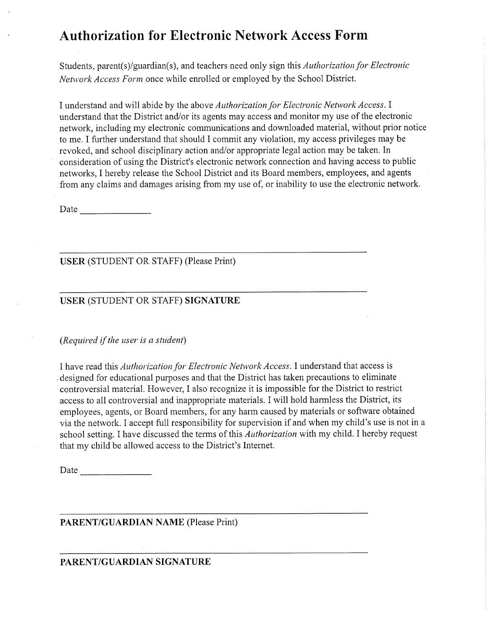# **Authorization for Electronic Network Access Form**

Students, parent(s)/guardian(s), and teachers need only sign this Authorization for Electronic Network Access Form once while enrolled or employed by the School District.

I understand and will abide by the above Authorization for Electronic Network Access. I understand that the District and/or its agents may access and monitor my use of the electronic network, including my electronic communications and downloaded material, without prior notice to me. I further understand that should I commit any violation, my access privileges may be revoked, and school disciplinary action and/or appropriate legal action may be taken. In consideration of using the District's electronic network connection and having access to public networks, I hereby release the School District and its Board members, employees, and agents from any claims and damages arising from my use of, or inability to use the electronic network.

**USER** (STUDENT OR STAFF) (Please Print)

#### USER (STUDENT OR STAFF) SIGNATURE

(Required if the user is a student)

I have read this *Authorization for Electronic Network Access*. I understand that access is designed for educational purposes and that the District has taken precautions to eliminate controversial material. However, I also recognize it is impossible for the District to restrict access to all controversial and inappropriate materials. I will hold harmless the District, its employees, agents, or Board members, for any harm caused by materials or software obtained via the network. I accept full responsibility for supervision if and when my child's use is not in a school setting. I have discussed the terms of this Authorization with my child. I hereby request that my child be allowed access to the District's Internet.

**PARENT/GUARDIAN NAME (Please Print)** 

#### PARENT/GUARDIAN SIGNATURE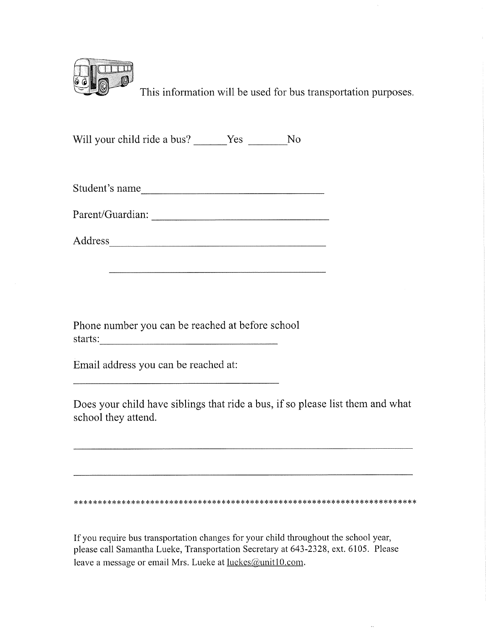

This information will be used for bus transportation purposes.

Will your child ride a bus? Yes No

| Student's name |  |  |
|----------------|--|--|
|                |  |  |

Parent/Guardian:

Phone number you can be reached at before school 

Email address you can be reached at:

Does your child have siblings that ride a bus, if so please list them and what school they attend.

If you require bus transportation changes for your child throughout the school year, please call Samantha Lueke, Transportation Secretary at 643-2328, ext. 6105. Please leave a message or email Mrs. Lueke at luekes@unit10.com.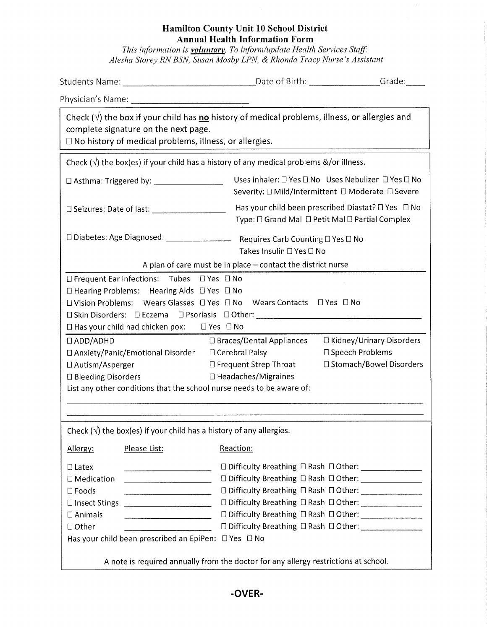#### Hamilton County Unit 10 School District **Annual Health Information Form**

This information is **voluntary**. To inform/update Health Services Staff:<br>Alesha Storey RN BSN, Susan Mosby LPN, & Rhonda Tracy Nurse's Assistant

| Check ( $\sqrt{ }$ ) the box if your child has no history of medical problems, illness, or allergies and<br>complete signature on the next page.<br>$\Box$ No history of medical problems, illness, or allergies.                  |                                                                                                                                                                                                                                                                                                  |  |  |
|------------------------------------------------------------------------------------------------------------------------------------------------------------------------------------------------------------------------------------|--------------------------------------------------------------------------------------------------------------------------------------------------------------------------------------------------------------------------------------------------------------------------------------------------|--|--|
| Check $(\sqrt{ } )$ the box(es) if your child has a history of any medical problems &/or illness.                                                                                                                                  |                                                                                                                                                                                                                                                                                                  |  |  |
| D Asthma: Triggered by: _______________________                                                                                                                                                                                    | Uses inhaler: □ Yes □ No Uses Nebulizer □ Yes □ No<br>Severity: □ Mild/Intermittent □ Moderate □ Severe                                                                                                                                                                                          |  |  |
| Has your child been prescribed Diastat? $\Box$ Yes $\Box$ No<br>Type: □ Grand Mal □ Petit Mal □ Partial Complex                                                                                                                    |                                                                                                                                                                                                                                                                                                  |  |  |
| Takes Insulin □ Yes □ No                                                                                                                                                                                                           |                                                                                                                                                                                                                                                                                                  |  |  |
| A plan of care must be in place $-$ contact the district nurse                                                                                                                                                                     |                                                                                                                                                                                                                                                                                                  |  |  |
| $\Box$ Hearing Problems: Hearing Aids $\Box$ Yes $\Box$ No<br>□ Vision Problems: Wears Glasses □ Yes □ No Wears Contacts □ Yes □ No<br>□ Skin Disorders: □ Eczema □ Psoriasis □ Other: ________________________________            |                                                                                                                                                                                                                                                                                                  |  |  |
| □ Braces/Dental Appliances<br>□ Anxiety/Panic/Emotional Disorder □ Cerebral Palsy<br>□ Frequent Strep Throat<br>□ Headaches/Migraines<br>List any other conditions that the school nurse needs to be aware of:                     | □ Kidney/Urinary Disorders<br>□ Speech Problems<br>□ Stomach/Bowel Disorders                                                                                                                                                                                                                     |  |  |
| Check $(\sqrt{})$ the box(es) if your child has a history of any allergies.                                                                                                                                                        |                                                                                                                                                                                                                                                                                                  |  |  |
| Reaction:                                                                                                                                                                                                                          |                                                                                                                                                                                                                                                                                                  |  |  |
| <u> Alexandria de la contrada de la contrada de la contrada de la contrada de la contrada de la contrada de la c</u><br>□ Insect Stings ________________________<br>Has your child been prescribed an EpiPen: $\Box$ Yes $\Box$ No | □ Difficulty Breathing □ Rash □ Other: _________________<br>□ Difficulty Breathing □ Rash □ Other: ______________<br>□ Difficulty Breathing □ Rash □ Other: _______________<br>□ Difficulty Breathing □ Rash □ Other: ________________<br>□ Difficulty Breathing □ Rash □ Other: _______________ |  |  |
|                                                                                                                                                                                                                                    | □ Seizures: Date of last: _____________________<br>□ Frequent Ear Infections: Tubes □ Yes □ No<br>$\Box$ Has your child had chicken pox: $\Box$ Yes $\Box$ No                                                                                                                                    |  |  |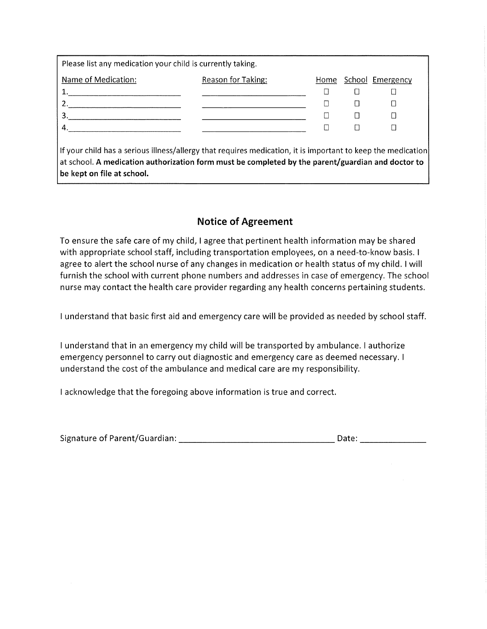| Please list any medication your child is currently taking. |                    |      |  |                  |
|------------------------------------------------------------|--------------------|------|--|------------------|
| Name of Medication:                                        | Reason for Taking: | Home |  | School Emergency |
|                                                            |                    |      |  |                  |
|                                                            |                    |      |  |                  |
|                                                            |                    |      |  |                  |
|                                                            |                    |      |  |                  |
|                                                            |                    |      |  |                  |

If your child has a serious illness/allergy that requires medication, it is important to keep the medication at school. A medication authorization form must be completed by the parent/guardian and doctor to be kept on file at school.

## **Notice of Agreement**

To ensure the safe care of my child, I agree that pertinent health information may be shared with appropriate school staff, including transportation employees, on a need-to-know basis. I agree to alert the school nurse of any changes in medication or health status of my child. I will furnish the school with current phone numbers and addresses in case of emergency. The school nurse may contact the health care provider regarding any health concerns pertaining students.

I understand that basic first aid and emergency care will be provided as needed by school staff.

I understand that in an emergency my child will be transported by ambulance. I authorize emergency personnel to carry out diagnostic and emergency care as deemed necessary. I understand the cost of the ambulance and medical care are my responsibility.

I acknowledge that the foregoing above information is true and correct.

| Signature of Parent/Guardian: |  |  |
|-------------------------------|--|--|
|                               |  |  |
|                               |  |  |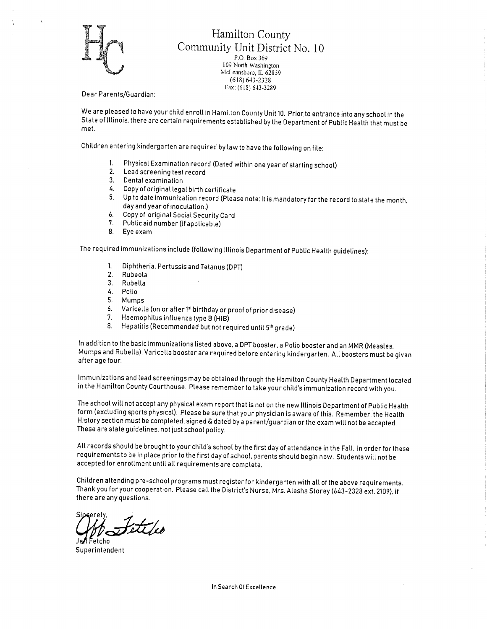

#### Hamilton County Community Unit District No. 10 P.O. Box 369 109 North Washington McLeansboro, IL 62859  $(618) 643 - 2328$ Fax: (618) 643-3289

Dear Parents/Guardian:

We are pleased to have your child enroll in Hamilton County Unit 10. Prior to entrance into any school in the State of Illinois, there are certain requirements established by the Department of Public Health that must be met.

Children entering kindergarten are required by law to have the following on file:

- Physical Examination record (Dated within one year of starting school)  $\mathbf{1}$
- 2. Lead screening test record
- 3. Dental examination
- 4. Copy of original legal birth certificate
- 5. Up to date immunization record (Please note: It is mandatory for the record to state the month, day and year of inoculation.)
- Copy of original Social Security Card  $6.$
- 7. Public aid number (if applicable)
- 8. Eye exam

The required immunizations include (following Illinois Department of Public Health guidelines):

- $1<sub>1</sub>$ Diphtheria, Pertussis and Tetanus (DPT)
- $2.$ Rubeola
- $3<sub>1</sub>$ Rubella
- 4. Polio
- 5. Mumps
- Varicella (on or after 1st birthday or proof of prior disease) 6.
- 7. Haemophilus influenza type B (HIB)
- Hepatitis (Recommended but not required until 5th grade) 8.

In addition to the basic immunizations listed above, a DPT booster, a Polio booster and an MMR (Measles, Mumps and Rubella), Varicella booster are required before entering kindergarten. All boosters must be given after age four.

Immunizations and lead screenings may be obtained through the Hamilton County Health Department located in the Hamilton County Courthouse. Please remember to take your child's immunization record with you.

The school will not accept any physical exam report that is not on the new Illinois Department of Public Health form (excluding sports physical). Please be sure that your physician is aware of this. Remember, the Health History section must be completed, signed & dated by a parent/guardian or the exam will not be accepted. These are state guidelines, not just school policy.

All records should be brought to your child's school by the first day of attendance in the Fall. In order for these requirements to be in place prior to the first day of school, parents should begin now. Students will not be accepted for enrollment until all requirements are complete.

Children attending pre-school programs must register for kindergarten with all of the above requirements. Thank you for your cooperation. Please call the District's Nurse, Mrs. Alesha Storey (643-2328 ext. 2109), if there are any questions.

eti /eo

Superintendent

In Search Of Excellence